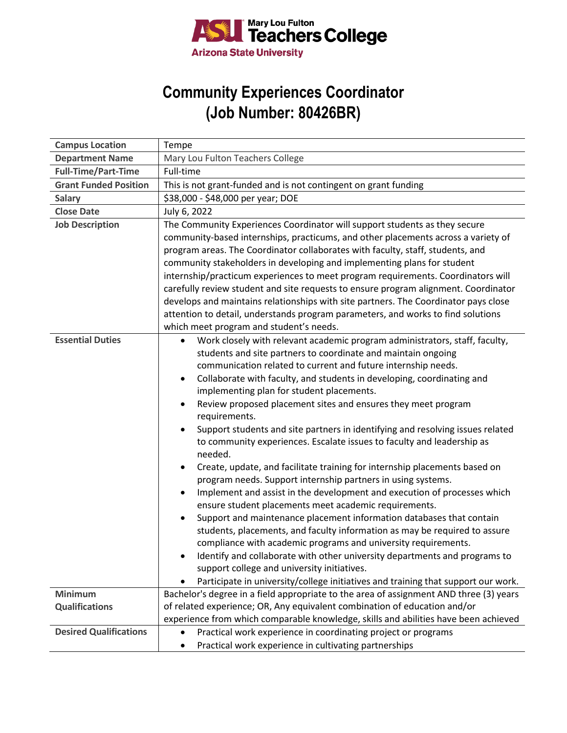

## **Community Experiences Coordinator (Job Number: 80426BR)**

| <b>Campus Location</b>        | Tempe                                                                                                                                                                                                                                                                                                                                                                                                                                                                                                                                                                                                                                                                                                                                                                                                                                                                                                                                                                                                                                                                                                                                                                                                                                                                                                                                   |
|-------------------------------|-----------------------------------------------------------------------------------------------------------------------------------------------------------------------------------------------------------------------------------------------------------------------------------------------------------------------------------------------------------------------------------------------------------------------------------------------------------------------------------------------------------------------------------------------------------------------------------------------------------------------------------------------------------------------------------------------------------------------------------------------------------------------------------------------------------------------------------------------------------------------------------------------------------------------------------------------------------------------------------------------------------------------------------------------------------------------------------------------------------------------------------------------------------------------------------------------------------------------------------------------------------------------------------------------------------------------------------------|
| <b>Department Name</b>        | Mary Lou Fulton Teachers College                                                                                                                                                                                                                                                                                                                                                                                                                                                                                                                                                                                                                                                                                                                                                                                                                                                                                                                                                                                                                                                                                                                                                                                                                                                                                                        |
| <b>Full-Time/Part-Time</b>    | Full-time                                                                                                                                                                                                                                                                                                                                                                                                                                                                                                                                                                                                                                                                                                                                                                                                                                                                                                                                                                                                                                                                                                                                                                                                                                                                                                                               |
| <b>Grant Funded Position</b>  | This is not grant-funded and is not contingent on grant funding                                                                                                                                                                                                                                                                                                                                                                                                                                                                                                                                                                                                                                                                                                                                                                                                                                                                                                                                                                                                                                                                                                                                                                                                                                                                         |
| <b>Salary</b>                 | \$38,000 - \$48,000 per year; DOE                                                                                                                                                                                                                                                                                                                                                                                                                                                                                                                                                                                                                                                                                                                                                                                                                                                                                                                                                                                                                                                                                                                                                                                                                                                                                                       |
| <b>Close Date</b>             | July 6, 2022                                                                                                                                                                                                                                                                                                                                                                                                                                                                                                                                                                                                                                                                                                                                                                                                                                                                                                                                                                                                                                                                                                                                                                                                                                                                                                                            |
| <b>Job Description</b>        | The Community Experiences Coordinator will support students as they secure<br>community-based internships, practicums, and other placements across a variety of<br>program areas. The Coordinator collaborates with faculty, staff, students, and<br>community stakeholders in developing and implementing plans for student<br>internship/practicum experiences to meet program requirements. Coordinators will<br>carefully review student and site requests to ensure program alignment. Coordinator<br>develops and maintains relationships with site partners. The Coordinator pays close<br>attention to detail, understands program parameters, and works to find solutions                                                                                                                                                                                                                                                                                                                                                                                                                                                                                                                                                                                                                                                      |
|                               | which meet program and student's needs.                                                                                                                                                                                                                                                                                                                                                                                                                                                                                                                                                                                                                                                                                                                                                                                                                                                                                                                                                                                                                                                                                                                                                                                                                                                                                                 |
| <b>Essential Duties</b>       | Work closely with relevant academic program administrators, staff, faculty,<br>$\bullet$<br>students and site partners to coordinate and maintain ongoing<br>communication related to current and future internship needs.<br>Collaborate with faculty, and students in developing, coordinating and<br>implementing plan for student placements.<br>Review proposed placement sites and ensures they meet program<br>requirements.<br>Support students and site partners in identifying and resolving issues related<br>to community experiences. Escalate issues to faculty and leadership as<br>needed.<br>Create, update, and facilitate training for internship placements based on<br>program needs. Support internship partners in using systems.<br>Implement and assist in the development and execution of processes which<br>ensure student placements meet academic requirements.<br>Support and maintenance placement information databases that contain<br>students, placements, and faculty information as may be required to assure<br>compliance with academic programs and university requirements.<br>Identify and collaborate with other university departments and programs to<br>support college and university initiatives.<br>Participate in university/college initiatives and training that support our work. |
| <b>Minimum</b>                | Bachelor's degree in a field appropriate to the area of assignment AND three (3) years                                                                                                                                                                                                                                                                                                                                                                                                                                                                                                                                                                                                                                                                                                                                                                                                                                                                                                                                                                                                                                                                                                                                                                                                                                                  |
| <b>Qualifications</b>         | of related experience; OR, Any equivalent combination of education and/or                                                                                                                                                                                                                                                                                                                                                                                                                                                                                                                                                                                                                                                                                                                                                                                                                                                                                                                                                                                                                                                                                                                                                                                                                                                               |
|                               | experience from which comparable knowledge, skills and abilities have been achieved                                                                                                                                                                                                                                                                                                                                                                                                                                                                                                                                                                                                                                                                                                                                                                                                                                                                                                                                                                                                                                                                                                                                                                                                                                                     |
| <b>Desired Qualifications</b> | Practical work experience in coordinating project or programs<br>Practical work experience in cultivating partnerships                                                                                                                                                                                                                                                                                                                                                                                                                                                                                                                                                                                                                                                                                                                                                                                                                                                                                                                                                                                                                                                                                                                                                                                                                  |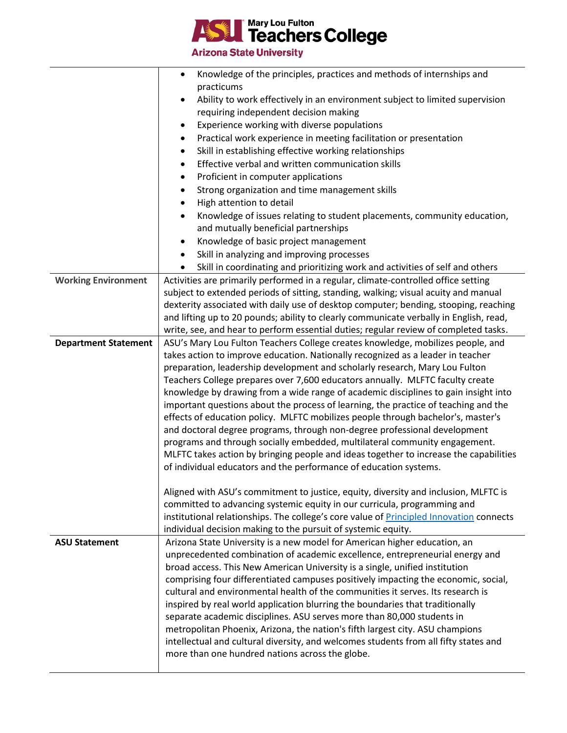**Leachers College** E

**Arizona State University** 

|                             | Knowledge of the principles, practices and methods of internships and                                                                                                      |
|-----------------------------|----------------------------------------------------------------------------------------------------------------------------------------------------------------------------|
|                             | practicums                                                                                                                                                                 |
|                             | Ability to work effectively in an environment subject to limited supervision                                                                                               |
|                             | requiring independent decision making                                                                                                                                      |
|                             | Experience working with diverse populations<br>$\bullet$                                                                                                                   |
|                             | Practical work experience in meeting facilitation or presentation<br>$\bullet$                                                                                             |
|                             | Skill in establishing effective working relationships<br>٠                                                                                                                 |
|                             | Effective verbal and written communication skills<br>$\bullet$                                                                                                             |
|                             | Proficient in computer applications<br>٠                                                                                                                                   |
|                             | Strong organization and time management skills<br>٠                                                                                                                        |
|                             | High attention to detail<br>$\bullet$                                                                                                                                      |
|                             | Knowledge of issues relating to student placements, community education,<br>$\bullet$                                                                                      |
|                             | and mutually beneficial partnerships                                                                                                                                       |
|                             | Knowledge of basic project management<br>$\bullet$                                                                                                                         |
|                             | Skill in analyzing and improving processes<br>$\bullet$                                                                                                                    |
|                             | Skill in coordinating and prioritizing work and activities of self and others<br>$\bullet$                                                                                 |
| <b>Working Environment</b>  | Activities are primarily performed in a regular, climate-controlled office setting                                                                                         |
|                             | subject to extended periods of sitting, standing, walking; visual acuity and manual                                                                                        |
|                             | dexterity associated with daily use of desktop computer; bending, stooping, reaching                                                                                       |
|                             | and lifting up to 20 pounds; ability to clearly communicate verbally in English, read,                                                                                     |
|                             | write, see, and hear to perform essential duties; regular review of completed tasks.                                                                                       |
| <b>Department Statement</b> | ASU's Mary Lou Fulton Teachers College creates knowledge, mobilizes people, and                                                                                            |
|                             | takes action to improve education. Nationally recognized as a leader in teacher                                                                                            |
|                             | preparation, leadership development and scholarly research, Mary Lou Fulton                                                                                                |
|                             | Teachers College prepares over 7,600 educators annually. MLFTC faculty create                                                                                              |
|                             | knowledge by drawing from a wide range of academic disciplines to gain insight into<br>important questions about the process of learning, the practice of teaching and the |
|                             | effects of education policy. MLFTC mobilizes people through bachelor's, master's                                                                                           |
|                             | and doctoral degree programs, through non-degree professional development                                                                                                  |
|                             | programs and through socially embedded, multilateral community engagement.                                                                                                 |
|                             | MLFTC takes action by bringing people and ideas together to increase the capabilities                                                                                      |
|                             | of individual educators and the performance of education systems.                                                                                                          |
|                             |                                                                                                                                                                            |
|                             | Aligned with ASU's commitment to justice, equity, diversity and inclusion, MLFTC is                                                                                        |
|                             | committed to advancing systemic equity in our curricula, programming and                                                                                                   |
|                             | institutional relationships. The college's core value of Principled Innovation connects                                                                                    |
|                             | individual decision making to the pursuit of systemic equity.                                                                                                              |
| <b>ASU Statement</b>        | Arizona State University is a new model for American higher education, an                                                                                                  |
|                             | unprecedented combination of academic excellence, entrepreneurial energy and                                                                                               |
|                             | broad access. This New American University is a single, unified institution                                                                                                |
|                             | comprising four differentiated campuses positively impacting the economic, social,                                                                                         |
|                             | cultural and environmental health of the communities it serves. Its research is                                                                                            |
|                             | inspired by real world application blurring the boundaries that traditionally                                                                                              |
|                             | separate academic disciplines. ASU serves more than 80,000 students in                                                                                                     |
|                             | metropolitan Phoenix, Arizona, the nation's fifth largest city. ASU champions                                                                                              |
|                             | intellectual and cultural diversity, and welcomes students from all fifty states and                                                                                       |
|                             | more than one hundred nations across the globe.                                                                                                                            |
|                             |                                                                                                                                                                            |